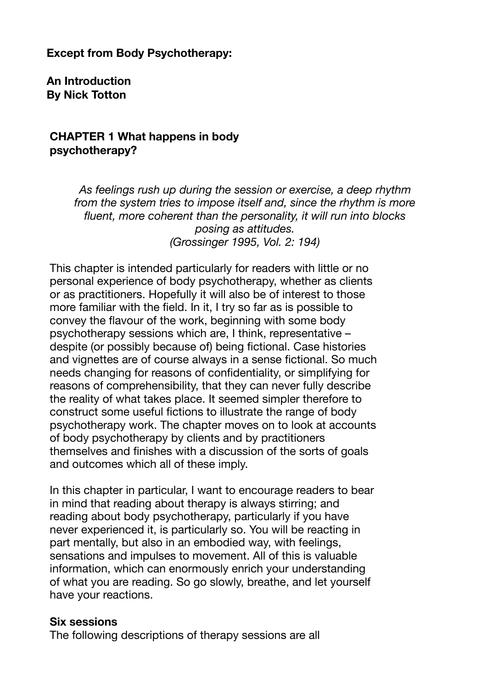### **Except from Body Psychotherapy:**

**An Introduction By Nick Totton** 

# **CHAPTER 1 What happens in body psychotherapy?**

*As feelings rush up during the session or exercise, a deep rhythm from the system tries to impose itself and, since the rhythm is more fluent, more coherent than the personality, it will run into blocks posing as attitudes. (Grossinger 1995, Vol. 2: 194)* 

 This chapter is intended particularly for readers with little or no personal experience of body psychotherapy, whether as clients or as practitioners. Hopefully it will also be of interest to those more familiar with the field. In it, I try so far as is possible to convey the flavour of the work, beginning with some body psychotherapy sessions which are, I think, representative – despite (or possibly because of) being fictional. Case histories and vignettes are of course always in a sense fictional. So much needs changing for reasons of confidentiality, or simplifying for reasons of comprehensibility, that they can never fully describe the reality of what takes place. It seemed simpler therefore to construct some useful fictions to illustrate the range of body psychotherapy work. The chapter moves on to look at accounts of body psychotherapy by clients and by practitioners themselves and finishes with a discussion of the sorts of goals and outcomes which all of these imply.

 In this chapter in particular, I want to encourage readers to bear in mind that reading about therapy is always stirring; and reading about body psychotherapy, particularly if you have never experienced it, is particularly so. You will be reacting in part mentally, but also in an embodied way, with feelings, sensations and impulses to movement. All of this is valuable information, which can enormously enrich your understanding of what you are reading. So go slowly, breathe, and let yourself have your reactions.

#### **Six sessions**

The following descriptions of therapy sessions are all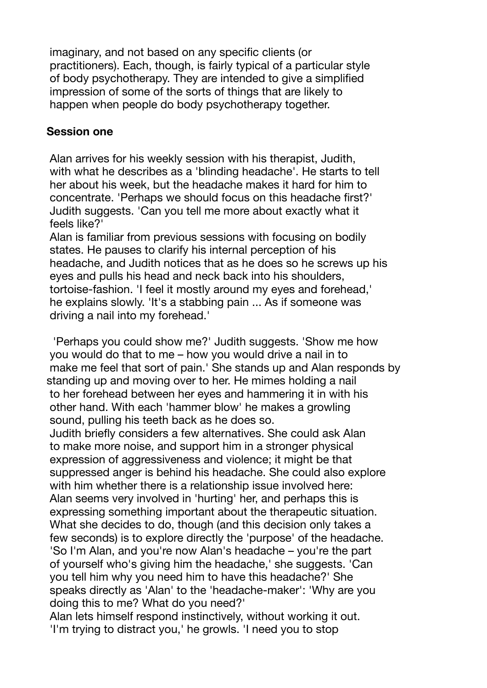imaginary, and not based on any specific clients (or practitioners). Each, though, is fairly typical of a particular style of body psychotherapy. They are intended to give a simplified impression of some of the sorts of things that are likely to happen when people do body psychotherapy together.

#### **Session one**

 Alan arrives for his weekly session with his therapist, Judith, with what he describes as a 'blinding headache'. He starts to tell her about his week, but the headache makes it hard for him to concentrate. 'Perhaps we should focus on this headache first?' Judith suggests. 'Can you tell me more about exactly what it feels like?'

 Alan is familiar from previous sessions with focusing on bodily states. He pauses to clarify his internal perception of his headache, and Judith notices that as he does so he screws up his eyes and pulls his head and neck back into his shoulders, tortoise-fashion. 'I feel it mostly around my eyes and forehead,' he explains slowly. 'It's a stabbing pain ... As if someone was driving a nail into my forehead.'

 'Perhaps you could show me?' Judith suggests. 'Show me how you would do that to me – how you would drive a nail in to make me feel that sort of pain.' She stands up and Alan responds by standing up and moving over to her. He mimes holding a nail to her forehead between her eyes and hammering it in with his other hand. With each 'hammer blow' he makes a growling sound, pulling his teeth back as he does so. Judith briefly considers a few alternatives. She could ask Alan to make more noise, and support him in a stronger physical expression of aggressiveness and violence; it might be that suppressed anger is behind his headache. She could also explore with him whether there is a relationship issue involved here: Alan seems very involved in 'hurting' her, and perhaps this is expressing something important about the therapeutic situation. What she decides to do, though (and this decision only takes a few seconds) is to explore directly the 'purpose' of the headache. 'So I'm Alan, and you're now Alan's headache – you're the part of yourself who's giving him the headache,' she suggests. 'Can you tell him why you need him to have this headache?' She speaks directly as 'Alan' to the 'headache-maker': 'Why are you doing this to me? What do you need?' Alan lets himself respond instinctively, without working it out.

'I'm trying to distract you,' he growls. 'I need you to stop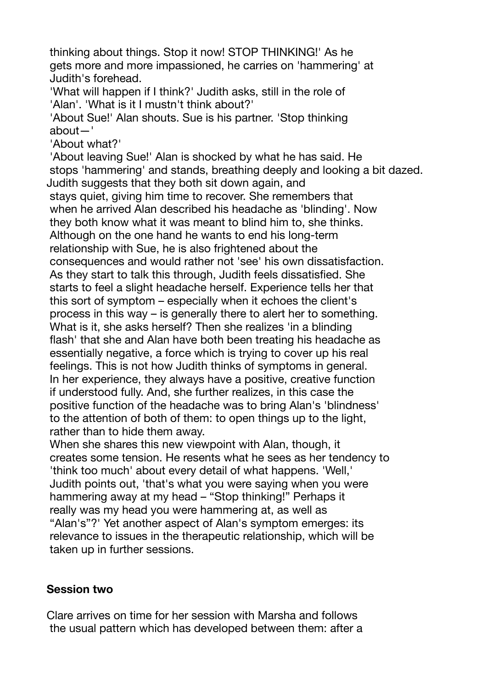thinking about things. Stop it now! STOP THINKING!' As he gets more and more impassioned, he carries on 'hammering' at Judith's forehead.

 'What will happen if I think?' Judith asks, still in the role of 'Alan'. 'What is it I mustn't think about?'

 'About Sue!' Alan shouts. Sue is his partner. 'Stop thinking about—'

'About what?'

 'About leaving Sue!' Alan is shocked by what he has said. He stops 'hammering' and stands, breathing deeply and looking a bit dazed. Judith suggests that they both sit down again, and stays quiet, giving him time to recover. She remembers that when he arrived Alan described his headache as 'blinding'. Now they both know what it was meant to blind him to, she thinks. Although on the one hand he wants to end his long-term relationship with Sue, he is also frightened about the consequences and would rather not 'see' his own dissatisfaction. As they start to talk this through, Judith feels dissatisfied. She starts to feel a slight headache herself. Experience tells her that this sort of symptom – especially when it echoes the client's process in this way – is generally there to alert her to something. What is it, she asks herself? Then she realizes 'in a blinding flash' that she and Alan have both been treating his headache as essentially negative, a force which is trying to cover up his real feelings. This is not how Judith thinks of symptoms in general. In her experience, they always have a positive, creative function if understood fully. And, she further realizes, in this case the positive function of the headache was to bring Alan's 'blindness' to the attention of both of them: to open things up to the light, rather than to hide them away. When she shares this new viewpoint with Alan, though, it

 creates some tension. He resents what he sees as her tendency to 'think too much' about every detail of what happens. 'Well,' Judith points out, 'that's what you were saying when you were hammering away at my head – "Stop thinking!" Perhaps it really was my head you were hammering at, as well as "Alan's"?' Yet another aspect of Alan's symptom emerges: its relevance to issues in the therapeutic relationship, which will be taken up in further sessions.

### **Session two**

Clare arrives on time for her session with Marsha and follows the usual pattern which has developed between them: after a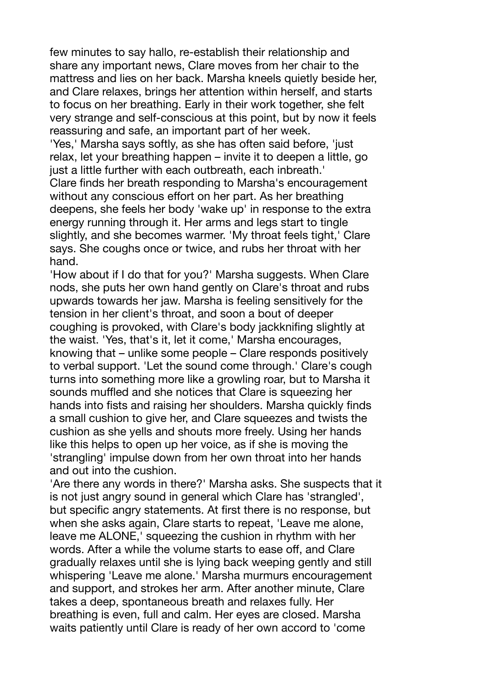few minutes to say hallo, re-establish their relationship and share any important news, Clare moves from her chair to the mattress and lies on her back. Marsha kneels quietly beside her, and Clare relaxes, brings her attention within herself, and starts to focus on her breathing. Early in their work together, she felt very strange and self-conscious at this point, but by now it feels reassuring and safe, an important part of her week.

 'Yes,' Marsha says softly, as she has often said before, 'just relax, let your breathing happen – invite it to deepen a little, go just a little further with each outbreath, each inbreath.' Clare finds her breath responding to Marsha's encouragement without any conscious effort on her part. As her breathing deepens, she feels her body 'wake up' in response to the extra energy running through it. Her arms and legs start to tingle slightly, and she becomes warmer. 'My throat feels tight,' Clare says. She coughs once or twice, and rubs her throat with her hand.

 'How about if I do that for you?' Marsha suggests. When Clare nods, she puts her own hand gently on Clare's throat and rubs upwards towards her jaw. Marsha is feeling sensitively for the tension in her client's throat, and soon a bout of deeper coughing is provoked, with Clare's body jackknifing slightly at the waist. 'Yes, that's it, let it come,' Marsha encourages, knowing that – unlike some people – Clare responds positively to verbal support. 'Let the sound come through.' Clare's cough turns into something more like a growling roar, but to Marsha it sounds muffled and she notices that Clare is squeezing her hands into fists and raising her shoulders. Marsha quickly finds a small cushion to give her, and Clare squeezes and twists the cushion as she yells and shouts more freely. Using her hands like this helps to open up her voice, as if she is moving the 'strangling' impulse down from her own throat into her hands and out into the cushion.

 'Are there any words in there?' Marsha asks. She suspects that it is not just angry sound in general which Clare has 'strangled', but specific angry statements. At first there is no response, but when she asks again, Clare starts to repeat, 'Leave me alone, leave me ALONE,' squeezing the cushion in rhythm with her words. After a while the volume starts to ease off, and Clare gradually relaxes until she is lying back weeping gently and still whispering 'Leave me alone.' Marsha murmurs encouragement and support, and strokes her arm. After another minute, Clare takes a deep, spontaneous breath and relaxes fully. Her breathing is even, full and calm. Her eyes are closed. Marsha waits patiently until Clare is ready of her own accord to 'come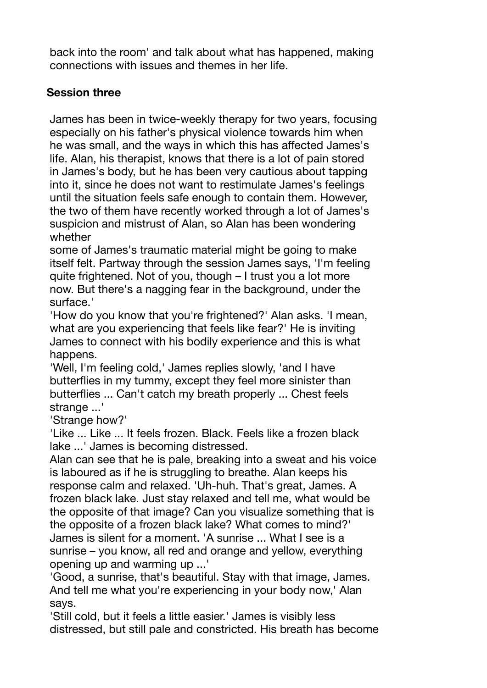back into the room' and talk about what has happened, making connections with issues and themes in her life.

# **Session three**

 James has been in twice-weekly therapy for two years, focusing especially on his father's physical violence towards him when he was small, and the ways in which this has affected James's life. Alan, his therapist, knows that there is a lot of pain stored in James's body, but he has been very cautious about tapping into it, since he does not want to restimulate James's feelings until the situation feels safe enough to contain them. However, the two of them have recently worked through a lot of James's suspicion and mistrust of Alan, so Alan has been wondering whether

 some of James's traumatic material might be going to make itself felt. Partway through the session James says, 'I'm feeling quite frightened. Not of you, though – I trust you a lot more now. But there's a nagging fear in the background, under the surface.'

 'How do you know that you're frightened?' Alan asks. 'I mean, what are you experiencing that feels like fear?' He is inviting James to connect with his bodily experience and this is what happens.

 'Well, I'm feeling cold,' James replies slowly, 'and I have butterflies in my tummy, except they feel more sinister than butterflies ... Can't catch my breath properly ... Chest feels strange ...'

'Strange how?'

 'Like ... Like ... It feels frozen. Black. Feels like a frozen black lake ...' James is becoming distressed.

 Alan can see that he is pale, breaking into a sweat and his voice is laboured as if he is struggling to breathe. Alan keeps his response calm and relaxed. 'Uh-huh. That's great, James. A frozen black lake. Just stay relaxed and tell me, what would be the opposite of that image? Can you visualize something that is the opposite of a frozen black lake? What comes to mind?' James is silent for a moment. 'A sunrise ... What I see is a sunrise – you know, all red and orange and yellow, everything opening up and warming up ...'

 'Good, a sunrise, that's beautiful. Stay with that image, James. And tell me what you're experiencing in your body now,' Alan says.

 'Still cold, but it feels a little easier.' James is visibly less distressed, but still pale and constricted. His breath has become